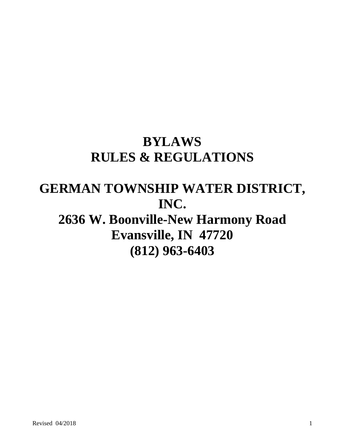# **BYLAWS RULES & REGULATIONS**

# **GERMAN TOWNSHIP WATER DISTRICT, INC.**

# **2636 W. Boonville-New Harmony Road Evansville, IN 47720 (812) 963-6403**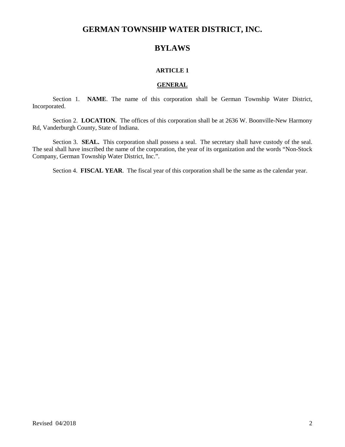# **GERMAN TOWNSHIP WATER DISTRICT, INC.**

# **BYLAWS**

# **ARTICLE 1**

#### **GENERAL**

Section 1. **NAME**. The name of this corporation shall be German Township Water District, Incorporated.

Section 2. LOCATION. The offices of this corporation shall be at 2636 W. Boonville-New Harmony Rd, Vanderburgh County, State of Indiana.

Section 3. **SEAL.** This corporation shall possess a seal. The secretary shall have custody of the seal. The seal shall have inscribed the name of the corporation, the year of its organization and the words "Non-Stock Company, German Township Water District, Inc.".

Section 4. **FISCAL YEAR**. The fiscal year of this corporation shall be the same as the calendar year.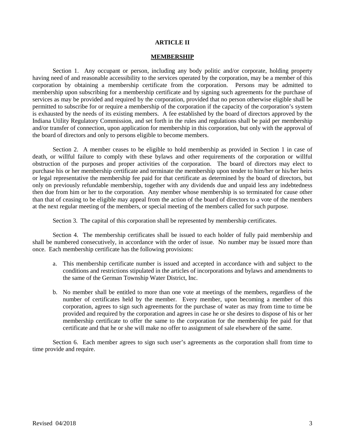#### **ARTICLE II**

#### **MEMBERSHIP**

Section 1. Any occupant or person, including any body politic and/or corporate, holding property having need of and reasonable accessibility to the services operated by the corporation, may be a member of this corporation by obtaining a membership certificate from the corporation. Persons may be admitted to membership upon subscribing for a membership certificate and by signing such agreements for the purchase of services as may be provided and required by the corporation, provided that no person otherwise eligible shall be permitted to subscribe for or require a membership of the corporation if the capacity of the corporation's system is exhausted by the needs of its existing members. A fee established by the board of directors approved by the Indiana Utility Regulatory Commission, and set forth in the rules and regulations shall be paid per membership and/or transfer of connection, upon application for membership in this corporation, but only with the approval of the board of directors and only to persons eligible to become members.

Section 2. A member ceases to be eligible to hold membership as provided in Section 1 in case of death, or willful failure to comply with these bylaws and other requirements of the corporation or willful obstruction of the purposes and proper activities of the corporation. The board of directors may elect to purchase his or her membership certificate and terminate the membership upon tender to him/her or his/her heirs or legal representative the membership fee paid for that certificate as determined by the board of directors, but only on previously refundable membership, together with any dividends due and unpaid less any indebtedness then due from him or her to the corporation. Any member whose membership is so terminated for cause other than that of ceasing to be eligible may appeal from the action of the board of directors to a vote of the members at the next regular meeting of the members, or special meeting of the members called for such purpose.

Section 3. The capital of this corporation shall be represented by membership certificates.

Section 4. The membership certificates shall be issued to each holder of fully paid membership and shall be numbered consecutively, in accordance with the order of issue. No number may be issued more than once. Each membership certificate has the following provisions:

- a. This membership certificate number is issued and accepted in accordance with and subject to the conditions and restrictions stipulated in the articles of incorporations and bylaws and amendments to the same of the German Township Water District, Inc.
- b. No member shall be entitled to more than one vote at meetings of the members, regardless of the number of certificates held by the member. Every member, upon becoming a member of this corporation, agrees to sign such agreements for the purchase of water as may from time to time be provided and required by the corporation and agrees in case he or she desires to dispose of his or her membership certificate to offer the same to the corporation for the membership fee paid for that certificate and that he or she will make no offer to assignment of sale elsewhere of the same.

Section 6. Each member agrees to sign such user's agreements as the corporation shall from time to time provide and require.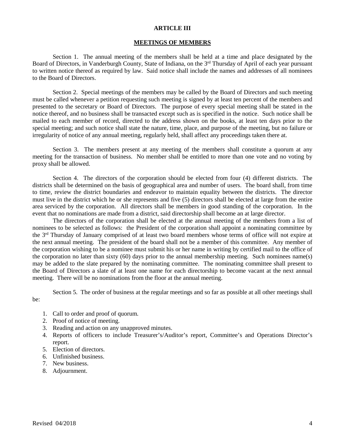#### **ARTICLE III**

#### **MEETINGS OF MEMBERS**

Section 1. The annual meeting of the members shall be held at a time and place designated by the Board of Directors, in Vanderburgh County, State of Indiana, on the 3<sup>rd</sup> Thursday of April of each year pursuant to written notice thereof as required by law. Said notice shall include the names and addresses of all nominees to the Board of Directors.

Section 2. Special meetings of the members may be called by the Board of Directors and such meeting must be called whenever a petition requesting such meeting is signed by at least ten percent of the members and presented to the secretary or Board of Directors. The purpose of every special meeting shall be stated in the notice thereof, and no business shall be transacted except such as is specified in the notice. Such notice shall be mailed to each member of record, directed to the address shown on the books, at least ten days prior to the special meeting; and such notice shall state the nature, time, place, and purpose of the meeting, but no failure or irregularity of notice of any annual meeting, regularly held, shall affect any proceedings taken there at.

Section 3. The members present at any meeting of the members shall constitute a quorum at any meeting for the transaction of business. No member shall be entitled to more than one vote and no voting by proxy shall be allowed.

Section 4. The directors of the corporation should be elected from four (4) different districts. The districts shall be determined on the basis of geographical area and number of users. The board shall, from time to time, review the district boundaries and endeavor to maintain equality between the districts.The director must live in the district which he or she represents and five (5) directors shall be elected at large from the entire area serviced by the corporation. All directors shall be members in good standing of the corporation. In the event that no nominations are made from a district, said directorship shall become an at large director.

The directors of the corporation shall be elected at the annual meeting of the members from a list of nominees to be selected as follows: the President of the corporation shall appoint a nominating committee by the 3rd Thursday of January comprised of at least two board members whose terms of office will not expire at the next annual meeting. The president of the board shall not be a member of this committee. Any member of the corporation wishing to be a nominee must submit his or her name in writing by certified mail to the office of the corporation no later than sixty (60) days prior to the annual membership meeting. Such nominees name(s) may be added to the slate prepared by the nominating committee. The nominating committee shall present to the Board of Directors a slate of at least one name for each directorship to become vacant at the next annual meeting. There will be no nominations from the floor at the annual meeting.

Section 5. The order of business at the regular meetings and so far as possible at all other meetings shall

be:

- 1. Call to order and proof of quorum.
- 2. Proof of notice of meeting.
- 3. Reading and action on any unapproved minutes.
- 4. Reports of officers to include Treasurer's/Auditor's report, Committee's and Operations Director's report.
- 5. Election of directors.
- 6. Unfinished business.
- 7. New business.
- 8. Adjournment.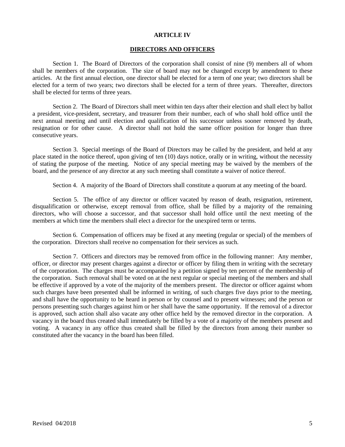#### **ARTICLE IV**

### **DIRECTORS AND OFFICERS**

Section 1. The Board of Directors of the corporation shall consist of nine (9) members all of whom shall be members of the corporation. The size of board may not be changed except by amendment to these articles. At the first annual election, one director shall be elected for a term of one year; two directors shall be elected for a term of two years; two directors shall be elected for a term of three years. Thereafter, directors shall be elected for terms of three years.

Section 2. The Board of Directors shall meet within ten days after their election and shall elect by ballot a president, vice-president, secretary, and treasurer from their number, each of who shall hold office until the next annual meeting and until election and qualification of his successor unless sooner removed by death, resignation or for other cause. A director shall not hold the same officer position for longer than three consecutive years.

Section 3. Special meetings of the Board of Directors may be called by the president, and held at any place stated in the notice thereof, upon giving of ten (10) days notice, orally or in writing, without the necessity of stating the purpose of the meeting. Notice of any special meeting may be waived by the members of the board, and the presence of any director at any such meeting shall constitute a waiver of notice thereof.

Section 4. A majority of the Board of Directors shall constitute a quorum at any meeting of the board.

Section 5. The office of any director or officer vacated by reason of death, resignation, retirement, disqualification or otherwise, except removal from office, shall be filled by a majority of the remaining directors, who will choose a successor, and that successor shall hold office until the next meeting of the members at which time the members shall elect a director for the unexpired term or terms.

Section 6. Compensation of officers may be fixed at any meeting (regular or special) of the members of the corporation. Directors shall receive no compensation for their services as such.

Section 7. Officers and directors may be removed from office in the following manner: Any member, officer, or director may present charges against a director or officer by filing them in writing with the secretary of the corporation. The charges must be accompanied by a petition signed by ten percent of the membership of the corporation. Such removal shall be voted on at the next regular or special meeting of the members and shall be effective if approved by a vote of the majority of the members present. The director or officer against whom such charges have been presented shall be informed in writing, of such charges five days prior to the meeting, and shall have the opportunity to be heard in person or by counsel and to present witnesses; and the person or persons presenting such charges against him or her shall have the same opportunity. If the removal of a director is approved, such action shall also vacate any other office held by the removed director in the corporation. A vacancy in the board thus created shall immediately be filled by a vote of a majority of the members present and voting. A vacancy in any office thus created shall be filled by the directors from among their number so constituted after the vacancy in the board has been filled.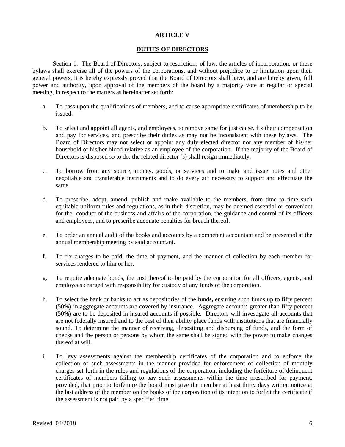### **ARTICLE V**

## **DUTIES OF DIRECTORS**

Section 1. The Board of Directors, subject to restrictions of law, the articles of incorporation, or these bylaws shall exercise all of the powers of the corporations, and without prejudice to or limitation upon their general powers, it is hereby expressly proved that the Board of Directors shall have, and are hereby given, full power and authority, upon approval of the members of the board by a majority vote at regular or special meeting, in respect to the matters as hereinafter set forth:

- a. To pass upon the qualifications of members, and to cause appropriate certificates of membership to be issued.
- b. To select and appoint all agents, and employees, to remove same for just cause, fix their compensation and pay for services, and prescribe their duties as may not be inconsistent with these bylaws. The Board of Directors may not select or appoint any duly elected director nor any member of his/her household or his/her blood relative as an employee of the corporation. If the majority of the Board of Directors is disposed so to do, the related director (s) shall resign immediately.
- c. To borrow from any source, money, goods, or services and to make and issue notes and other negotiable and transferable instruments and to do every act necessary to support and effectuate the same.
- d. To prescribe, adopt, amend, publish and make available to the members, from time to time such equitable uniform rules and regulations, as in their discretion, may be deemed essential or convenient for the conduct of the business and affairs of the corporation, the guidance and control of its officers and employees, and to prescribe adequate penalties for breach thereof.
- e. To order an annual audit of the books and accounts by a competent accountant and be presented at the annual membership meeting by said accountant.
- f. To fix charges to be paid, the time of payment, and the manner of collection by each member for services rendered to him or her.
- g. To require adequate bonds, the cost thereof to be paid by the corporation for all officers, agents, and employees charged with responsibility for custody of any funds of the corporation.
- h. To select the bank or banks to act as depositories of the funds**,** ensuring such funds up to fifty percent (50%) in aggregate accounts are covered by insurance. Aggregate accounts greater than fifty percent (50%) are to be deposited in insured accounts if possible. Directors will investigate all accounts that are not federally insured and to the best of their ability place funds with institutions that are financially sound. To determine the manner of receiving, depositing and disbursing of funds, and the form of checks and the person or persons by whom the same shall be signed with the power to make changes thereof at will.
- i. To levy assessments against the membership certificates of the corporation and to enforce the collection of such assessments in the manner provided for enforcement of collection of monthly charges set forth in the rules and regulations of the corporation, including the forfeiture of delinquent certificates of members failing to pay such assessments within the time prescribed for payment, provided, that prior to forfeiture the board must give the member at least thirty days written notice at the last address of the member on the books of the corporation of its intention to forfeit the certificate if the assessment is not paid by a specified time.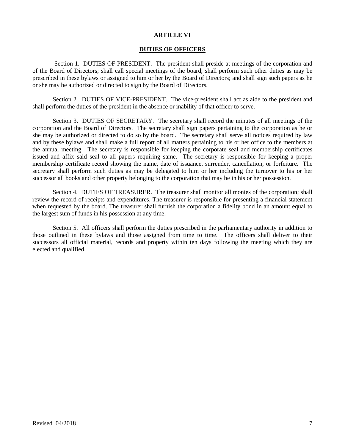### **ARTICLE VI**

# **DUTIES OF OFFICERS**

Section 1. DUTIES OF PRESIDENT. The president shall preside at meetings of the corporation and of the Board of Directors; shall call special meetings of the board; shall perform such other duties as may be prescribed in these bylaws or assigned to him or her by the Board of Directors; and shall sign such papers as he or she may be authorized or directed to sign by the Board of Directors.

Section 2. DUTIES OF VICE-PRESIDENT. The vice-president shall act as aide to the president and shall perform the duties of the president in the absence or inability of that officer to serve.

Section 3. DUTIES OF SECRETARY. The secretary shall record the minutes of all meetings of the corporation and the Board of Directors. The secretary shall sign papers pertaining to the corporation as he or she may be authorized or directed to do so by the board. The secretary shall serve all notices required by law and by these bylaws and shall make a full report of all matters pertaining to his or her office to the members at the annual meeting. The secretary is responsible for keeping the corporate seal and membership certificates issued and affix said seal to all papers requiring same. The secretary is responsible for keeping a proper membership certificate record showing the name, date of issuance, surrender, cancellation, or forfeiture. The secretary shall perform such duties as may be delegated to him or her including the turnover to his or her successor all books and other property belonging to the corporation that may be in his or her possession.

Section 4. DUTIES OF TREASURER. The treasurer shall monitor all monies of the corporation; shall review the record of receipts and expenditures. The treasurer is responsible for presenting a financial statement when requested by the board. The treasurer shall furnish the corporation a fidelity bond in an amount equal to the largest sum of funds in his possession at any time.

Section 5. All officers shall perform the duties prescribed in the parliamentary authority in addition to those outlined in these bylaws and those assigned from time to time. The officers shall deliver to their successors all official material, records and property within ten days following the meeting which they are elected and qualified.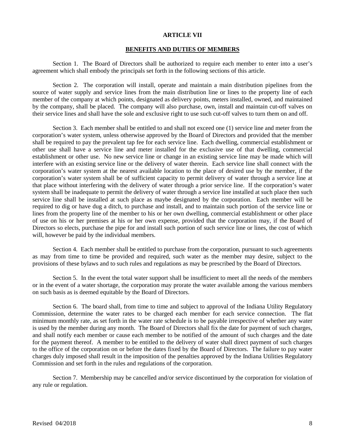#### **ARTICLE VII**

## **BENEFITS AND DUTIES OF MEMBERS**

Section 1. The Board of Directors shall be authorized to require each member to enter into a user's agreement which shall embody the principals set forth in the following sections of this article.

Section 2. The corporation will install, operate and maintain a main distribution pipelines from the source of water supply and service lines from the main distribution line or lines to the property line of each member of the company at which points, designated as delivery points, meters installed, owned, and maintained by the company, shall be placed. The company will also purchase, own, install and maintain cut-off valves on their service lines and shall have the sole and exclusive right to use such cut-off valves to turn them on and off.

Section 3. Each member shall be entitled to and shall not exceed one (1) service line and meter from the corporation's water system, unless otherwise approved by the Board of Directors and provided that the member shall be required to pay the prevalent tap fee for each service line. Each dwelling, commercial establishment or other use shall have a service line and meter installed for the exclusive use of that dwelling, commercial establishment or other use. No new service line or change in an existing service line may be made which will interfere with an existing service line or the delivery of water therein. Each service line shall connect with the corporation's water system at the nearest available location to the place of desired use by the member, if the corporation's water system shall be of sufficient capacity to permit delivery of water through a service line at that place without interfering with the delivery of water through a prior service line. If the corporation's water system shall be inadequate to permit the delivery of water through a service line installed at such place then such service line shall be installed at such place as maybe designated by the corporation. Each member will be required to dig or have dug a ditch, to purchase and install, and to maintain such portion of the service line or lines from the property line of the member to his or her own dwelling, commercial establishment or other place of use on his or her premises at his or her own expense, provided that the corporation may, if the Board of Directors so elects, purchase the pipe for and install such portion of such service line or lines, the cost of which will, however be paid by the individual members.

Section 4. Each member shall be entitled to purchase from the corporation, pursuant to such agreements as may from time to time be provided and required, such water as the member may desire, subject to the provisions of these bylaws and to such rules and regulations as may be prescribed by the Board of Directors.

Section 5. In the event the total water support shall be insufficient to meet all the needs of the members or in the event of a water shortage, the corporation may prorate the water available among the various members on such basis as is deemed equitable by the Board of Directors.

Section 6. The board shall, from time to time and subject to approval of the Indiana Utility Regulatory Commission, determine the water rates to be charged each member for each service connection. The flat minimum monthly rate, as set forth in the water rate schedule is to be payable irrespective of whether any water is used by the member during any month. The Board of Directors shall fix the date for payment of such charges, and shall notify each member or cause each member to be notified of the amount of such charges and the date for the payment thereof. A member to be entitled to the delivery of water shall direct payment of such charges to the office of the corporation on or before the dates fixed by the Board of Directors. The failure to pay water charges duly imposed shall result in the imposition of the penalties approved by the Indiana Utilities Regulatory Commission and set forth in the rules and regulations of the corporation.

Section 7. Membership may be cancelled and/or service discontinued by the corporation for violation of any rule or regulation.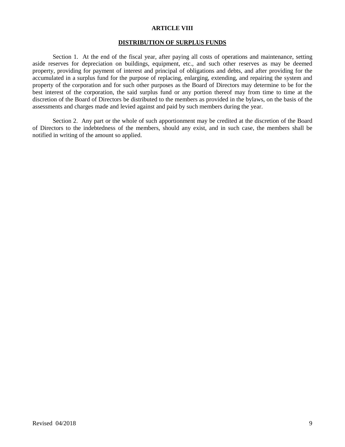## **ARTICLE VIII**

#### **DISTRIBUTION OF SURPLUS FUNDS**

Section 1. At the end of the fiscal year, after paying all costs of operations and maintenance, setting aside reserves for depreciation on buildings, equipment, etc., and such other reserves as may be deemed property, providing for payment of interest and principal of obligations and debts, and after providing for the accumulated in a surplus fund for the purpose of replacing, enlarging, extending, and repairing the system and property of the corporation and for such other purposes as the Board of Directors may determine to be for the best interest of the corporation, the said surplus fund or any portion thereof may from time to time at the discretion of the Board of Directors be distributed to the members as provided in the bylaws, on the basis of the assessments and charges made and levied against and paid by such members during the year.

Section 2. Any part or the whole of such apportionment may be credited at the discretion of the Board of Directors to the indebtedness of the members, should any exist, and in such case, the members shall be notified in writing of the amount so applied.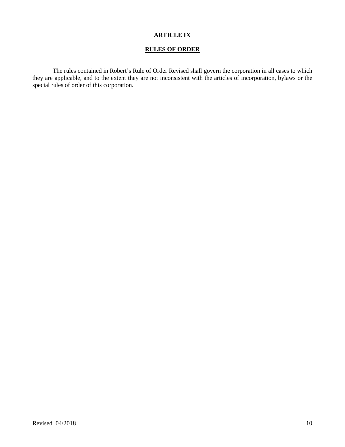# **ARTICLE IX**

# **RULES OF ORDER**

The rules contained in Robert's Rule of Order Revised shall govern the corporation in all cases to which they are applicable, and to the extent they are not inconsistent with the articles of incorporation, bylaws or the special rules of order of this corporation.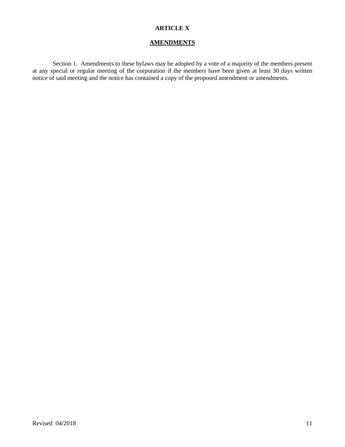# **ARTICLE X**

## **AMENDMENTS**

Section 1. Amendments to these bylaws may be adopted by a vote of a majority of the members present at any special or regular meeting of the corporation if the members have been given at least 30 days written notice of said meeting and the notice has contained a copy of the proposed amendment or amendments.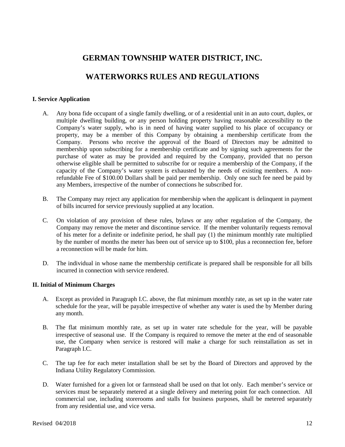# **GERMAN TOWNSHIP WATER DISTRICT, INC.**

# **WATERWORKS RULES AND REGULATIONS**

# **I. Service Application**

- A. Any bona fide occupant of a single family dwelling, or of a residential unit in an auto court, duplex, or multiple dwelling building, or any person holding property having reasonable accessibility to the Company's water supply, who is in need of having water supplied to his place of occupancy or property, may be a member of this Company by obtaining a membership certificate from the Company. Persons who receive the approval of the Board of Directors may be admitted to membership upon subscribing for a membership certificate and by signing such agreements for the purchase of water as may be provided and required by the Company, provided that no person otherwise eligible shall be permitted to subscribe for or require a membership of the Company, if the capacity of the Company's water system is exhausted by the needs of existing members. A nonrefundable Fee of \$100.00 Dollars shall be paid per membership. Only one such fee need be paid by any Members, irrespective of the number of connections he subscribed for.
- B. The Company may reject any application for membership when the applicant is delinquent in payment of bills incurred for service previously supplied at any location.
- C. On violation of any provision of these rules, bylaws or any other regulation of the Company, the Company may remove the meter and discontinue service. If the member voluntarily requests removal of his meter for a definite or indefinite period, he shall pay (1) the minimum monthly rate multiplied by the number of months the meter has been out of service up to \$100, plus a reconnection fee, before a reconnection will be made for him.
- D. The individual in whose name the membership certificate is prepared shall be responsible for all bills incurred in connection with service rendered.

# **II. Initial of Minimum Charges**

- A. Except as provided in Paragraph I.C. above, the flat minimum monthly rate, as set up in the water rate schedule for the year, will be payable irrespective of whether any water is used the by Member during any month.
- B. The flat minimum monthly rate, as set up in water rate schedule for the year, will be payable irrespective of seasonal use. If the Company is required to remove the meter at the end of seasonable use, the Company when service is restored will make a charge for such reinstallation as set in Paragraph I.C.
- C. The tap fee for each meter installation shall be set by the Board of Directors and approved by the Indiana Utility Regulatory Commission.
- D. Water furnished for a given lot or farmstead shall be used on that lot only. Each member's service or services must be separately metered at a single delivery and metering point for each connection. All commercial use, including storerooms and stalls for business purposes, shall be metered separately from any residential use, and vice versa.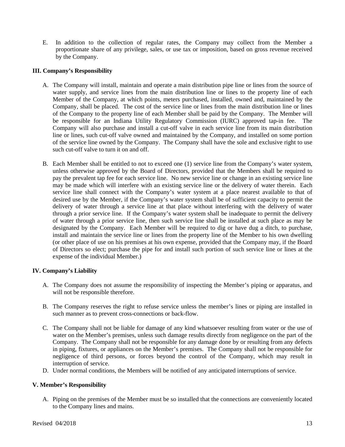E. In addition to the collection of regular rates, the Company may collect from the Member a proportionate share of any privilege, sales, or use tax or imposition, based on gross revenue received by the Company.

## **III. Company's Responsibility**

- A. The Company will install, maintain and operate a main distribution pipe line or lines from the source of water supply, and service lines from the main distribution line or lines to the property line of each Member of the Company, at which points, meters purchased, installed, owned and, maintained by the Company, shall be placed. The cost of the service line or lines from the main distribution line or lines of the Company to the property line of each Member shall be paid by the Company. The Member will be responsible for an Indiana Utility Regulatory Commission (IURC) approved tap-in fee.The Company will also purchase and install a cut-off valve in each service line from its main distribution line or lines, such cut-off valve owned and maintained by the Company, and installed on some portion of the service line owned by the Company. The Company shall have the sole and exclusive right to use such cut-off valve to turn it on and off.
- B. Each Member shall be entitled to not to exceed one (1) service line from the Company's water system, unless otherwise approved by the Board of Directors, provided that the Members shall be required to pay the prevalent tap fee for each service line. No new service line or change in an existing service line may be made which will interfere with an existing service line or the delivery of water therein. Each service line shall connect with the Company's water system at a place nearest available to that of desired use by the Member, if the Company's water system shall be of sufficient capacity to permit the delivery of water through a service line at that place without interfering with the delivery of water through a prior service line. If the Company's water system shall be inadequate to permit the delivery of water through a prior service line, then such service line shall be installed at such place as may be designated by the Company. Each Member will be required to dig or have dug a ditch, to purchase, install and maintain the service line or lines from the property line of the Member to his own dwelling (or other place of use on his premises at his own expense, provided that the Company may, if the Board of Directors so elect; purchase the pipe for and install such portion of such service line or lines at the expense of the individual Member.)

# **IV. Company's Liability**

- A. The Company does not assume the responsibility of inspecting the Member's piping or apparatus, and will not be responsible therefore.
- B. The Company reserves the right to refuse service unless the member's lines or piping are installed in such manner as to prevent cross-connections or back-flow.
- C. The Company shall not be liable for damage of any kind whatsoever resulting from water or the use of water on the Member's premises, unless such damage results directly from negligence on the part of the Company. The Company shall not be responsible for any damage done by or resulting from any defects in piping, fixtures, or appliances on the Member's premises. The Company shall not be responsible for negligence of third persons, or forces beyond the control of the Company, which may result in interruption of service.
- D. Under normal conditions, the Members will be notified of any anticipated interruptions of service.

# **V. Member's Responsibility**

A. Piping on the premises of the Member must be so installed that the connections are conveniently located to the Company lines and mains.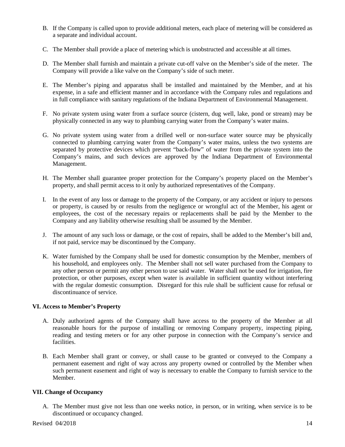- B. If the Company is called upon to provide additional meters, each place of metering will be considered as a separate and individual account.
- C. The Member shall provide a place of metering which is unobstructed and accessible at all times.
- D. The Member shall furnish and maintain a private cut-off valve on the Member's side of the meter. The Company will provide a like valve on the Company's side of such meter.
- E. The Member's piping and apparatus shall be installed and maintained by the Member, and at his expense, in a safe and efficient manner and in accordance with the Company rules and regulations and in full compliance with sanitary regulations of the Indiana Department of Environmental Management.
- F. No private system using water from a surface source (cistern, dug well, lake, pond or stream) may be physically connected in any way to plumbing carrying water from the Company's water mains.
- G. No private system using water from a drilled well or non-surface water source may be physically connected to plumbing carrying water from the Company's water mains, unless the two systems are separated by protective devices which prevent "back-flow" of water from the private system into the Company's mains, and such devices are approved by the Indiana Department of Environmental Management.
- H. The Member shall guarantee proper protection for the Company's property placed on the Member's property, and shall permit access to it only by authorized representatives of the Company.
- I. In the event of any loss or damage to the property of the Company, or any accident or injury to persons or property, is caused by or results from the negligence or wrongful act of the Member, his agent or employees, the cost of the necessary repairs or replacements shall be paid by the Member to the Company and any liability otherwise resulting shall be assumed by the Member.
- J. The amount of any such loss or damage, or the cost of repairs, shall be added to the Member's bill and, if not paid, service may be discontinued by the Company.
- K. Water furnished by the Company shall be used for domestic consumption by the Member, members of his household, and employees only. The Member shall not sell water purchased from the Company to any other person or permit any other person to use said water. Water shall not be used for irrigation, fire protection, or other purposes, except when water is available in sufficient quantity without interfering with the regular domestic consumption. Disregard for this rule shall be sufficient cause for refusal or discontinuance of service.

# **VI. Access to Member's Property**

- A. Duly authorized agents of the Company shall have access to the property of the Member at all reasonable hours for the purpose of installing or removing Company property, inspecting piping, reading and testing meters or for any other purpose in connection with the Company's service and facilities.
- B. Each Member shall grant or convey, or shall cause to be granted or conveyed to the Company a permanent easement and right of way across any property owned or controlled by the Member when such permanent easement and right of way is necessary to enable the Company to furnish service to the Member.

# **VII. Change of Occupancy**

A. The Member must give not less than one weeks notice, in person, or in writing, when service is to be discontinued or occupancy changed.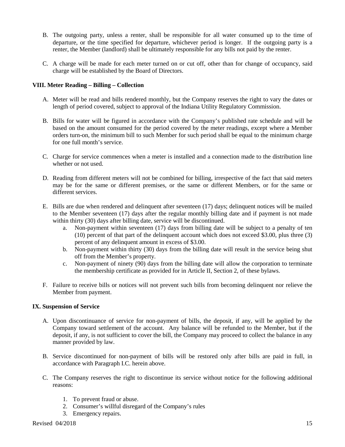- B. The outgoing party, unless a renter, shall be responsible for all water consumed up to the time of departure, or the time specified for departure, whichever period is longer. If the outgoing party is a renter, the Member (landlord) shall be ultimately responsible for any bills not paid by the renter.
- C. A charge will be made for each meter turned on or cut off, other than for change of occupancy, said charge will be established by the Board of Directors.

# **VIII. Meter Reading – Billing – Collection**

- A. Meter will be read and bills rendered monthly, but the Company reserves the right to vary the dates or length of period covered, subject to approval of the Indiana Utility Regulatory Commission.
- B. Bills for water will be figured in accordance with the Company's published rate schedule and will be based on the amount consumed for the period covered by the meter readings, except where a Member orders turn-on, the minimum bill to such Member for such period shall be equal to the minimum charge for one full month's service.
- C. Charge for service commences when a meter is installed and a connection made to the distribution line whether or not used.
- D. Reading from different meters will not be combined for billing, irrespective of the fact that said meters may be for the same or different premises, or the same or different Members, or for the same or different services.
- E. Bills are due when rendered and delinquent after seventeen (17) days; delinquent notices will be mailed to the Member seventeen (17) days after the regular monthly billing date and if payment is not made within thirty (30) days after billing date, service will be discontinued.
	- a. Non-payment within seventeen (17) days from billing date will be subject to a penalty of ten (10) percent of that part of the delinquent account which does not exceed \$3.00, plus three (3) percent of any delinquent amount in excess of \$3.00.
	- b. Non-payment within thirty (30) days from the billing date will result in the service being shut off from the Member's property.
	- c. Non-payment of ninety (90) days from the billing date will allow the corporation to terminate the membership certificate as provided for in Article II, Section 2, of these bylaws.
- F. Failure to receive bills or notices will not prevent such bills from becoming delinquent nor relieve the Member from payment.

# **IX. Suspension of Service**

- A. Upon discontinuance of service for non-payment of bills, the deposit, if any, will be applied by the Company toward settlement of the account. Any balance will be refunded to the Member, but if the deposit, if any, is not sufficient to cover the bill, the Company may proceed to collect the balance in any manner provided by law.
- B. Service discontinued for non-payment of bills will be restored only after bills are paid in full, in accordance with Paragraph I.C. herein above.
- C. The Company reserves the right to discontinue its service without notice for the following additional reasons:
	- 1. To prevent fraud or abuse.
	- 2. Consumer's willful disregard of the Company's rules
	- 3. Emergency repairs.